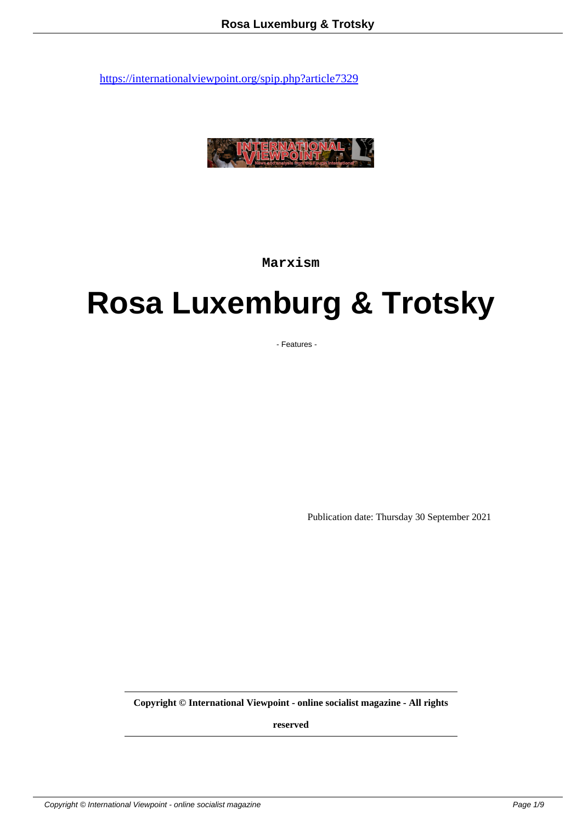

**Marxism**

# **Rosa Luxemburg & Trotsky**

- Features -

Publication date: Thursday 30 September 2021

**Copyright © International Viewpoint - online socialist magazine - All rights**

**reserved**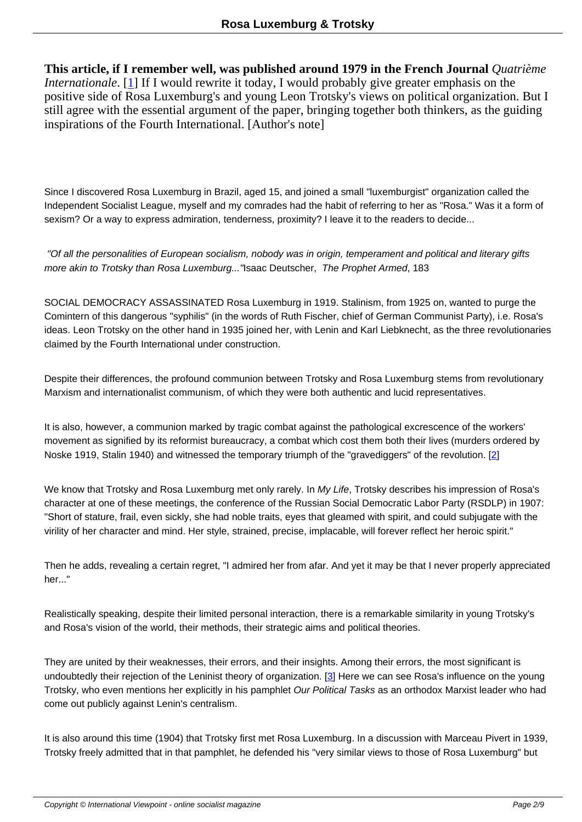**This article, if I remember well, was published around 1979 in the French Journal** *Quatrième Internationale*. [1] If I would rewrite it today, I would probably give greater emphasis on the positive side of Rosa Luxemburg's and young Leon Trotsky's views on political organization. But I still agree with the essential argument of the paper, bringing together both thinkers, as the guiding inspirations of t[he](#nb1) Fourth International. [Author's note]

Since I discovered Rosa Luxemburg in Brazil, aged 15, and joined a small "luxemburgist" organization called the Independent Socialist League, myself and my comrades had the habit of referring to her as "Rosa." Was it a form of sexism? Or a way to express admiration, tenderness, proximity? I leave it to the readers to decide...

 "Of all the personalities of European socialism, nobody was in origin, temperament and political and literary gifts more akin to Trotsky than Rosa Luxemburg..." Isaac Deutscher, The Prophet Armed, 183

SOCIAL DEMOCRACY ASSASSINATED Rosa Luxemburg in 1919. Stalinism, from 1925 on, wanted to purge the Comintern of this dangerous "syphilis" (in the words of Ruth Fischer, chief of German Communist Party), i.e. Rosa's ideas. Leon Trotsky on the other hand in 1935 joined her, with Lenin and Karl Liebknecht, as the three revolutionaries claimed by the Fourth International under construction.

Despite their differences, the profound communion between Trotsky and Rosa Luxemburg stems from revolutionary Marxism and internationalist communism, of which they were both authentic and lucid representatives.

It is also, however, a communion marked by tragic combat against the pathological excrescence of the workers' movement as signified by its reformist bureaucracy, a combat which cost them both their lives (murders ordered by Noske 1919, Stalin 1940) and witnessed the temporary triumph of the "gravediggers" of the revolution. [2]

We know that Trotsky and Rosa Luxemburg met only rarely. In My Life, Trotsky describes his impression of Rosa's character at one of these meetings, the conference of the Russian Social Democratic Labor Party (RSD[L](#nb2)P) in 1907: "Short of stature, frail, even sickly, she had noble traits, eyes that gleamed with spirit, and could subjugate with the virility of her character and mind. Her style, strained, precise, implacable, will forever reflect her heroic spirit."

Then he adds, revealing a certain regret, "I admired her from afar. And yet it may be that I never properly appreciated her..."

Realistically speaking, despite their limited personal interaction, there is a remarkable similarity in young Trotsky's and Rosa's vision of the world, their methods, their strategic aims and political theories.

They are united by their weaknesses, their errors, and their insights. Among their errors, the most significant is undoubtedly their rejection of the Leninist theory of organization. [3] Here we can see Rosa's influence on the young Trotsky, who even mentions her explicitly in his pamphlet Our Political Tasks as an orthodox Marxist leader who had come out publicly against Lenin's centralism.

It is also around this time (1904) that Trotsky first met Rosa Luxemburg. In a discussion with Marceau Pivert in 1939, Trotsky freely admitted that in that pamphlet, he defended his "very similar views to those of Rosa Luxemburg" but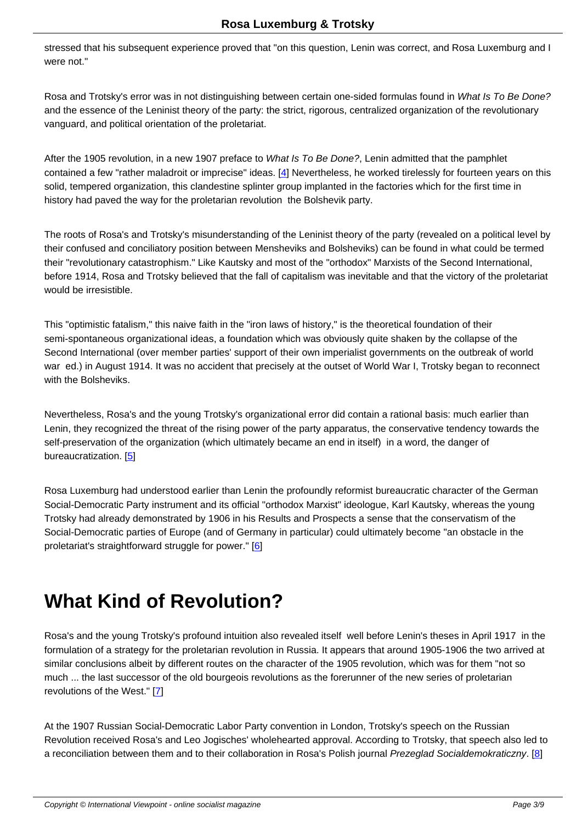stressed that his subsequent experience proved that "on this question, Lenin was correct, and Rosa Luxemburg and I were not."

Rosa and Trotsky's error was in not distinguishing between certain one-sided formulas found in What Is To Be Done? and the essence of the Leninist theory of the party: the strict, rigorous, centralized organization of the revolutionary vanguard, and political orientation of the proletariat.

After the 1905 revolution, in a new 1907 preface to What Is To Be Done?, Lenin admitted that the pamphlet contained a few "rather maladroit or imprecise" ideas. [4] Nevertheless, he worked tirelessly for fourteen years on this solid, tempered organization, this clandestine splinter group implanted in the factories which for the first time in history had paved the way for the proletarian revolution the Bolshevik party.

The roots of Rosa's and Trotsky's misunderstanding of the Leninist theory of the party (revealed on a political level by their confused and conciliatory position between Mensheviks and Bolsheviks) can be found in what could be termed their "revolutionary catastrophism." Like Kautsky and most of the "orthodox" Marxists of the Second International, before 1914, Rosa and Trotsky believed that the fall of capitalism was inevitable and that the victory of the proletariat would be irresistible.

This "optimistic fatalism," this naive faith in the "iron laws of history," is the theoretical foundation of their semi-spontaneous organizational ideas, a foundation which was obviously quite shaken by the collapse of the Second International (over member parties' support of their own imperialist governments on the outbreak of world war ed.) in August 1914. It was no accident that precisely at the outset of World War I, Trotsky began to reconnect with the Bolsheviks.

Nevertheless, Rosa's and the young Trotsky's organizational error did contain a rational basis: much earlier than Lenin, they recognized the threat of the rising power of the party apparatus, the conservative tendency towards the self-preservation of the organization (which ultimately became an end in itself) in a word, the danger of bureaucratization. [5]

Rosa Luxemburg had understood earlier than Lenin the profoundly reformist bureaucratic character of the German Social-Democratic [Pa](#nb5)rty instrument and its official "orthodox Marxist" ideologue, Karl Kautsky, whereas the young Trotsky had already demonstrated by 1906 in his Results and Prospects a sense that the conservatism of the Social-Democratic parties of Europe (and of Germany in particular) could ultimately become "an obstacle in the proletariat's straightforward struggle for power." [6]

### **What Kind of Revoluti[on](#nb6)?**

Rosa's and the young Trotsky's profound intuition also revealed itself well before Lenin's theses in April 1917 in the formulation of a strategy for the proletarian revolution in Russia. It appears that around 1905-1906 the two arrived at similar conclusions albeit by different routes on the character of the 1905 revolution, which was for them "not so much ... the last successor of the old bourgeois revolutions as the forerunner of the new series of proletarian revolutions of the West." [7]

At the 1907 Russian Social-Democratic Labor Party convention in London, Trotsky's speech on the Russian Revolution received Ros[a's](#nb7) and Leo Jogisches' wholehearted approval. According to Trotsky, that speech also led to a reconciliation between them and to their collaboration in Rosa's Polish journal Prezeglad Socialdemokraticzny. [8]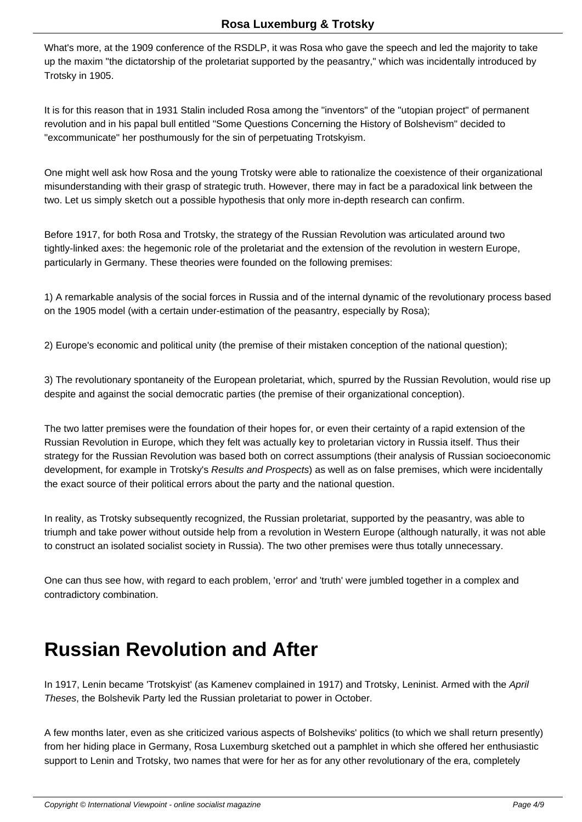What's more, at the 1909 conference of the RSDLP, it was Rosa who gave the speech and led the majority to take up the maxim "the dictatorship of the proletariat supported by the peasantry," which was incidentally introduced by Trotsky in 1905.

It is for this reason that in 1931 Stalin included Rosa among the "inventors" of the "utopian project" of permanent revolution and in his papal bull entitled "Some Questions Concerning the History of Bolshevism" decided to "excommunicate" her posthumously for the sin of perpetuating Trotskyism.

One might well ask how Rosa and the young Trotsky were able to rationalize the coexistence of their organizational misunderstanding with their grasp of strategic truth. However, there may in fact be a paradoxical link between the two. Let us simply sketch out a possible hypothesis that only more in-depth research can confirm.

Before 1917, for both Rosa and Trotsky, the strategy of the Russian Revolution was articulated around two tightly-linked axes: the hegemonic role of the proletariat and the extension of the revolution in western Europe, particularly in Germany. These theories were founded on the following premises:

1) A remarkable analysis of the social forces in Russia and of the internal dynamic of the revolutionary process based on the 1905 model (with a certain under-estimation of the peasantry, especially by Rosa);

2) Europe's economic and political unity (the premise of their mistaken conception of the national question);

3) The revolutionary spontaneity of the European proletariat, which, spurred by the Russian Revolution, would rise up despite and against the social democratic parties (the premise of their organizational conception).

The two latter premises were the foundation of their hopes for, or even their certainty of a rapid extension of the Russian Revolution in Europe, which they felt was actually key to proletarian victory in Russia itself. Thus their strategy for the Russian Revolution was based both on correct assumptions (their analysis of Russian socioeconomic development, for example in Trotsky's Results and Prospects) as well as on false premises, which were incidentally the exact source of their political errors about the party and the national question.

In reality, as Trotsky subsequently recognized, the Russian proletariat, supported by the peasantry, was able to triumph and take power without outside help from a revolution in Western Europe (although naturally, it was not able to construct an isolated socialist society in Russia). The two other premises were thus totally unnecessary.

One can thus see how, with regard to each problem, 'error' and 'truth' were jumbled together in a complex and contradictory combination.

### **Russian Revolution and After**

In 1917, Lenin became 'Trotskyist' (as Kamenev complained in 1917) and Trotsky, Leninist. Armed with the April Theses, the Bolshevik Party led the Russian proletariat to power in October.

A few months later, even as she criticized various aspects of Bolsheviks' politics (to which we shall return presently) from her hiding place in Germany, Rosa Luxemburg sketched out a pamphlet in which she offered her enthusiastic support to Lenin and Trotsky, two names that were for her as for any other revolutionary of the era, completely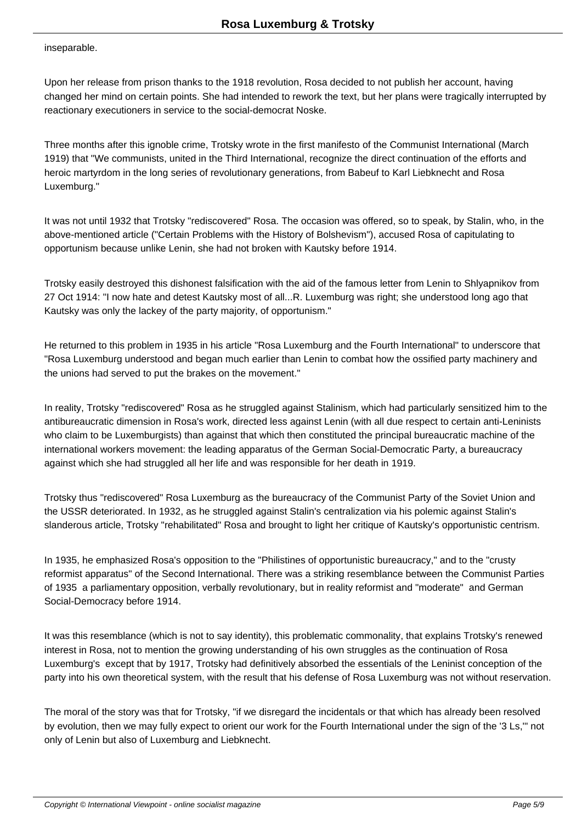inseparable.

Upon her release from prison thanks to the 1918 revolution, Rosa decided to not publish her account, having changed her mind on certain points. She had intended to rework the text, but her plans were tragically interrupted by reactionary executioners in service to the social-democrat Noske.

Three months after this ignoble crime, Trotsky wrote in the first manifesto of the Communist International (March 1919) that "We communists, united in the Third International, recognize the direct continuation of the efforts and heroic martyrdom in the long series of revolutionary generations, from Babeuf to Karl Liebknecht and Rosa Luxemburg."

It was not until 1932 that Trotsky "rediscovered" Rosa. The occasion was offered, so to speak, by Stalin, who, in the above-mentioned article ("Certain Problems with the History of Bolshevism"), accused Rosa of capitulating to opportunism because unlike Lenin, she had not broken with Kautsky before 1914.

Trotsky easily destroyed this dishonest falsification with the aid of the famous letter from Lenin to Shlyapnikov from 27 Oct 1914: "I now hate and detest Kautsky most of all...R. Luxemburg was right; she understood long ago that Kautsky was only the lackey of the party majority, of opportunism."

He returned to this problem in 1935 in his article "Rosa Luxemburg and the Fourth International" to underscore that "Rosa Luxemburg understood and began much earlier than Lenin to combat how the ossified party machinery and the unions had served to put the brakes on the movement."

In reality, Trotsky "rediscovered" Rosa as he struggled against Stalinism, which had particularly sensitized him to the antibureaucratic dimension in Rosa's work, directed less against Lenin (with all due respect to certain anti-Leninists who claim to be Luxemburgists) than against that which then constituted the principal bureaucratic machine of the international workers movement: the leading apparatus of the German Social-Democratic Party, a bureaucracy against which she had struggled all her life and was responsible for her death in 1919.

Trotsky thus "rediscovered" Rosa Luxemburg as the bureaucracy of the Communist Party of the Soviet Union and the USSR deteriorated. In 1932, as he struggled against Stalin's centralization via his polemic against Stalin's slanderous article, Trotsky "rehabilitated" Rosa and brought to light her critique of Kautsky's opportunistic centrism.

In 1935, he emphasized Rosa's opposition to the "Philistines of opportunistic bureaucracy," and to the "crusty reformist apparatus" of the Second International. There was a striking resemblance between the Communist Parties of 1935 a parliamentary opposition, verbally revolutionary, but in reality reformist and "moderate" and German Social-Democracy before 1914.

It was this resemblance (which is not to say identity), this problematic commonality, that explains Trotsky's renewed interest in Rosa, not to mention the growing understanding of his own struggles as the continuation of Rosa Luxemburg's except that by 1917, Trotsky had definitively absorbed the essentials of the Leninist conception of the party into his own theoretical system, with the result that his defense of Rosa Luxemburg was not without reservation.

The moral of the story was that for Trotsky, "if we disregard the incidentals or that which has already been resolved by evolution, then we may fully expect to orient our work for the Fourth International under the sign of the '3 Ls,'" not only of Lenin but also of Luxemburg and Liebknecht.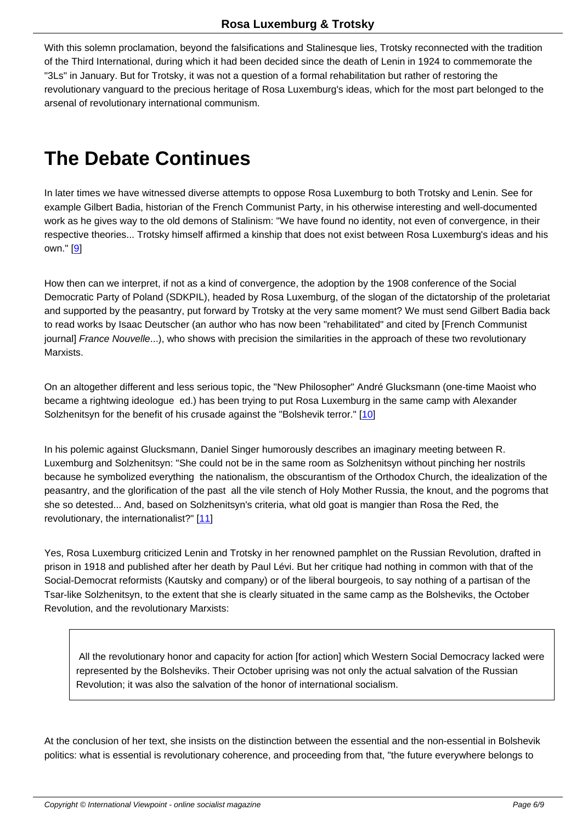With this solemn proclamation, beyond the falsifications and Stalinesque lies, Trotsky reconnected with the tradition of the Third International, during which it had been decided since the death of Lenin in 1924 to commemorate the "3Ls" in January. But for Trotsky, it was not a question of a formal rehabilitation but rather of restoring the revolutionary vanguard to the precious heritage of Rosa Luxemburg's ideas, which for the most part belonged to the arsenal of revolutionary international communism.

## **The Debate Continues**

In later times we have witnessed diverse attempts to oppose Rosa Luxemburg to both Trotsky and Lenin. See for example Gilbert Badia, historian of the French Communist Party, in his otherwise interesting and well-documented work as he gives way to the old demons of Stalinism: "We have found no identity, not even of convergence, in their respective theories... Trotsky himself affirmed a kinship that does not exist between Rosa Luxemburg's ideas and his own." [9]

How then can we interpret, if not as a kind of convergence, the adoption by the 1908 conference of the Social Demo[cra](#nb9)tic Party of Poland (SDKPIL), headed by Rosa Luxemburg, of the slogan of the dictatorship of the proletariat and supported by the peasantry, put forward by Trotsky at the very same moment? We must send Gilbert Badia back to read works by Isaac Deutscher (an author who has now been "rehabilitated" and cited by [French Communist journal] France Nouvelle...), who shows with precision the similarities in the approach of these two revolutionary Marxists.

On an altogether different and less serious topic, the "New Philosopher" André Glucksmann (one-time Maoist who became a rightwing ideologue ed.) has been trying to put Rosa Luxemburg in the same camp with Alexander Solzhenitsyn for the benefit of his crusade against the "Bolshevik terror." [10]

In his polemic against Glucksmann, Daniel Singer humorously describes an imaginary meeting between R. Luxemburg and Solzhenitsyn: "She could not be in the same room as Sol[zhe](#nb10)nitsyn without pinching her nostrils because he symbolized everything the nationalism, the obscurantism of the Orthodox Church, the idealization of the peasantry, and the glorification of the past all the vile stench of Holy Mother Russia, the knout, and the pogroms that she so detested... And, based on Solzhenitsyn's criteria, what old goat is mangier than Rosa the Red, the revolutionary, the internationalist?" [11]

Yes, Rosa Luxemburg criticized Lenin and Trotsky in her renowned pamphlet on the Russian Revolution, drafted in prison in 1918 and published after [her](#nb11) death by Paul Lévi. But her critique had nothing in common with that of the Social-Democrat reformists (Kautsky and company) or of the liberal bourgeois, to say nothing of a partisan of the Tsar-like Solzhenitsyn, to the extent that she is clearly situated in the same camp as the Bolsheviks, the October Revolution, and the revolutionary Marxists:

 All the revolutionary honor and capacity for action [for action] which Western Social Democracy lacked were represented by the Bolsheviks. Their October uprising was not only the actual salvation of the Russian Revolution; it was also the salvation of the honor of international socialism.

At the conclusion of her text, she insists on the distinction between the essential and the non-essential in Bolshevik politics: what is essential is revolutionary coherence, and proceeding from that, "the future everywhere belongs to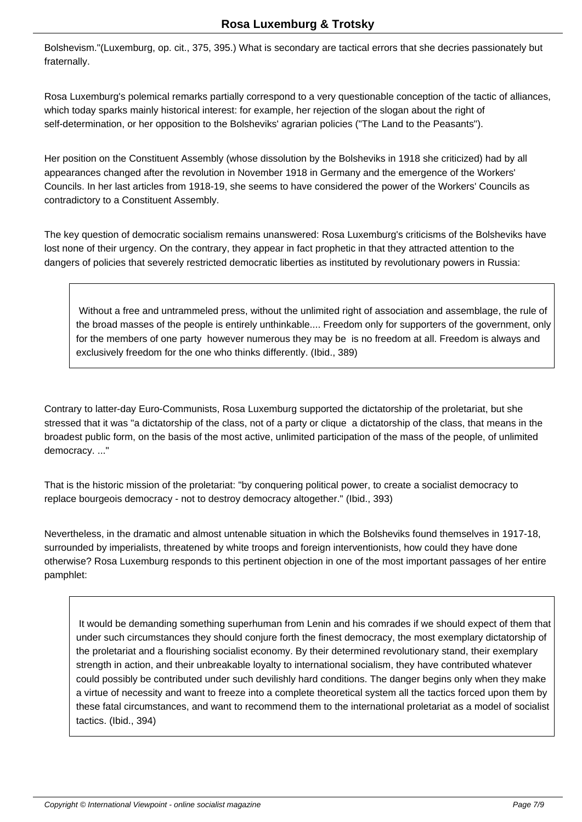Bolshevism."(Luxemburg, op. cit., 375, 395.) What is secondary are tactical errors that she decries passionately but fraternally.

Rosa Luxemburg's polemical remarks partially correspond to a very questionable conception of the tactic of alliances, which today sparks mainly historical interest: for example, her rejection of the slogan about the right of self-determination, or her opposition to the Bolsheviks' agrarian policies ("The Land to the Peasants").

Her position on the Constituent Assembly (whose dissolution by the Bolsheviks in 1918 she criticized) had by all appearances changed after the revolution in November 1918 in Germany and the emergence of the Workers' Councils. In her last articles from 1918-19, she seems to have considered the power of the Workers' Councils as contradictory to a Constituent Assembly.

The key question of democratic socialism remains unanswered: Rosa Luxemburg's criticisms of the Bolsheviks have lost none of their urgency. On the contrary, they appear in fact prophetic in that they attracted attention to the dangers of policies that severely restricted democratic liberties as instituted by revolutionary powers in Russia:

 Without a free and untrammeled press, without the unlimited right of association and assemblage, the rule of the broad masses of the people is entirely unthinkable.... Freedom only for supporters of the government, only for the members of one party however numerous they may be is no freedom at all. Freedom is always and exclusively freedom for the one who thinks differently. (Ibid., 389)

Contrary to latter-day Euro-Communists, Rosa Luxemburg supported the dictatorship of the proletariat, but she stressed that it was "a dictatorship of the class, not of a party or clique a dictatorship of the class, that means in the broadest public form, on the basis of the most active, unlimited participation of the mass of the people, of unlimited democracy. ..."

That is the historic mission of the proletariat: "by conquering political power, to create a socialist democracy to replace bourgeois democracy - not to destroy democracy altogether." (Ibid., 393)

Nevertheless, in the dramatic and almost untenable situation in which the Bolsheviks found themselves in 1917-18, surrounded by imperialists, threatened by white troops and foreign interventionists, how could they have done otherwise? Rosa Luxemburg responds to this pertinent objection in one of the most important passages of her entire pamphlet:

 It would be demanding something superhuman from Lenin and his comrades if we should expect of them that under such circumstances they should conjure forth the finest democracy, the most exemplary dictatorship of the proletariat and a flourishing socialist economy. By their determined revolutionary stand, their exemplary strength in action, and their unbreakable loyalty to international socialism, they have contributed whatever could possibly be contributed under such devilishly hard conditions. The danger begins only when they make a virtue of necessity and want to freeze into a complete theoretical system all the tactics forced upon them by these fatal circumstances, and want to recommend them to the international proletariat as a model of socialist tactics. (Ibid., 394)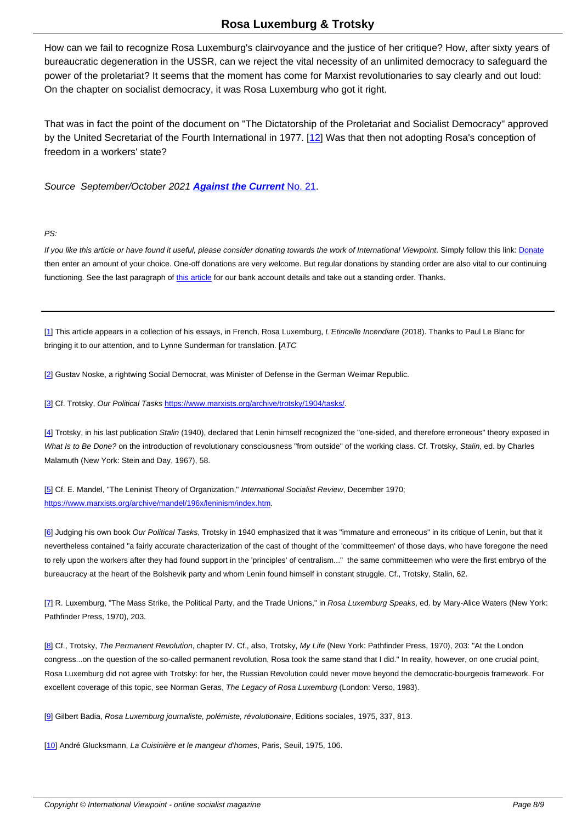How can we fail to recognize Rosa Luxemburg's clairvoyance and the justice of her critique? How, after sixty years of bureaucratic degeneration in the USSR, can we reject the vital necessity of an unlimited democracy to safeguard the power of the proletariat? It seems that the moment has come for Marxist revolutionaries to say clearly and out loud: On the chapter on socialist democracy, it was Rosa Luxemburg who got it right.

That was in fact the point of the document on "The Dictatorship of the Proletariat and Socialist Democracy" approved by the United Secretariat of the Fourth International in 1977. [12] Was that then not adopting Rosa's conception of freedom in a workers' state?

Source September/October 2021 **Against the Current** No. [21.](#nb12)

#### PS:

If you like this article or have found it useful, please consider donating towards the work of International Viewpoint. Simply follow this link: Donate then enter an amount of your choice. One-off donations are very welcome. But regular donations by standing order are also vital to our continuing functioning. See the last paragraph of this article for our bank account details and take out a standing order. Thanks.

[1] This article appears in a collection [of his essa](http://www.internationalviewpoint.org/spip.php?article5368)ys, in French, Rosa Luxemburg, L'Etincelle Incendiare (2018). Thanks to Paul Le Blanc for bringing it to our attention, and to Lynne Sunderman for translation. [ATC

[[2](#nh1)] Gustav Noske, a rightwing Social Democrat, was Minister of Defense in the German Weimar Republic.

[3] Cf. Trotsky, Our Political Tasks https://www.marxists.org/archive/trotsky/1904/tasks/.

[4] Trotsky, in his last publication Stalin (1940), declared that Lenin himself recognized the "one-sided, and therefore erroneous" theory exposed in [W](#nh3)hat Is to Be Done? on the introd[uction of revolutionary consciousness "from outside" o](https://www.marxists.org/archive/trotsky/1904/tasks/)f the working class. Cf. Trotsky, Stalin, ed. by Charles Malamuth (New York: Stein and Day, 1967), 58.

[[5](#nh4)] Cf. E. Mandel, "The Leninist Theory of Organization," International Socialist Review, December 1970; https://www.marxists.org/archive/mandel/196x/leninism/index.htm.

[[6](#nh5)] Judging his own book Our Political Tasks, Trotsky in 1940 emphasized that it was "immature and erroneous" in its critique of Lenin, but that it [nevertheless contained "a fairly accurate characterization of the ca](https://www.marxists.org/archive/mandel/196x/leninism/index.htm)st of thought of the 'committeemen' of those days, who have foregone the need to rely upon the workers after they had found support in the 'principles' of centralism..." the same committeemen who were the first embryo of the [bu](#nh6)reaucracy at the heart of the Bolshevik party and whom Lenin found himself in constant struggle. Cf., Trotsky, Stalin, 62.

[7] R. Luxemburg, "The Mass Strike, the Political Party, and the Trade Unions," in Rosa Luxemburg Speaks, ed. by Mary-Alice Waters (New York: Pathfinder Press, 1970), 203.

[[8](#nh7)] Cf., Trotsky, The Permanent Revolution, chapter IV. Cf., also, Trotsky, My Life (New York: Pathfinder Press, 1970), 203: "At the London congress...on the question of the so-called permanent revolution, Rosa took the same stand that I did." In reality, however, on one crucial point, Rosa Luxemburg did not agree with Trotsky: for her, the Russian Revolution could never move beyond the democratic-bourgeois framework. For [ex](#nh8)cellent coverage of this topic, see Norman Geras, The Legacy of Rosa Luxemburg (London: Verso, 1983).

[9] Gilbert Badia, Rosa Luxemburg journaliste, polémiste, révolutionaire, Editions sociales, 1975, 337, 813.

[10] André Glucksmann, La Cuisinière et le mangeur d'homes, Paris, Seuil, 1975, 106.